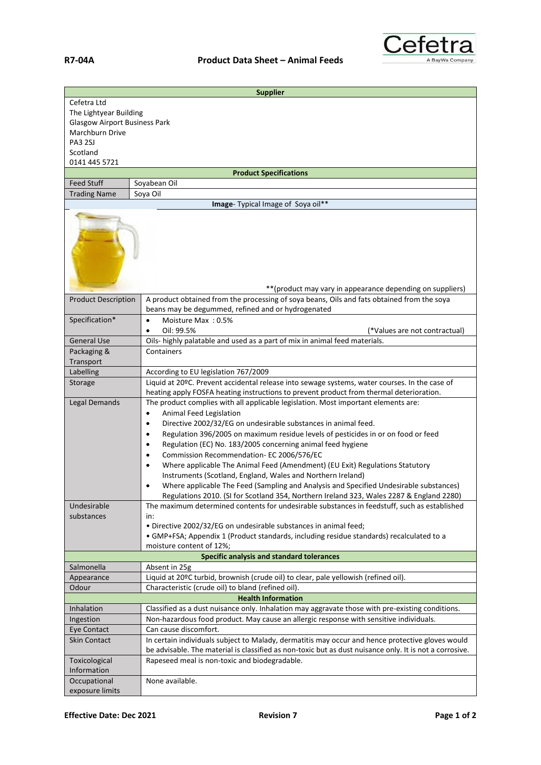

| <b>Supplier</b>                                            |                                                                                                         |  |
|------------------------------------------------------------|---------------------------------------------------------------------------------------------------------|--|
| Cefetra Ltd                                                |                                                                                                         |  |
| The Lightyear Building                                     |                                                                                                         |  |
| <b>Glasgow Airport Business Park</b>                       |                                                                                                         |  |
| Marchburn Drive                                            |                                                                                                         |  |
| <b>PA3 2SJ</b>                                             |                                                                                                         |  |
| Scotland                                                   |                                                                                                         |  |
| 0141 445 5721                                              |                                                                                                         |  |
|                                                            | <b>Product Specifications</b>                                                                           |  |
| <b>Feed Stuff</b>                                          | Soyabean Oil<br>Soya Oil                                                                                |  |
| <b>Trading Name</b>                                        | Image- Typical Image of Soya oil**                                                                      |  |
|                                                            |                                                                                                         |  |
| ** (product may vary in appearance depending on suppliers) |                                                                                                         |  |
| <b>Product Description</b>                                 | A product obtained from the processing of soya beans, Oils and fats obtained from the soya              |  |
|                                                            | beans may be degummed, refined and or hydrogenated                                                      |  |
| Specification*                                             | Moisture Max: 0.5%<br>$\bullet$                                                                         |  |
|                                                            | Oil: 99.5%<br>(*Values are not contractual)<br>٠                                                        |  |
| <b>General Use</b>                                         | Oils- highly palatable and used as a part of mix in animal feed materials.                              |  |
| Packaging &                                                | Containers                                                                                              |  |
| Transport                                                  |                                                                                                         |  |
| Labelling                                                  | According to EU legislation 767/2009                                                                    |  |
| Storage                                                    | Liquid at 20°C. Prevent accidental release into sewage systems, water courses. In the case of           |  |
|                                                            | heating apply FOSFA heating instructions to prevent product from thermal deterioration.                 |  |
| Legal Demands                                              | The product complies with all applicable legislation. Most important elements are:                      |  |
|                                                            | Animal Feed Legislation<br>$\bullet$                                                                    |  |
|                                                            | Directive 2002/32/EG on undesirable substances in animal feed.<br>$\bullet$                             |  |
|                                                            | Regulation 396/2005 on maximum residue levels of pesticides in or on food or feed<br>$\bullet$          |  |
|                                                            | Regulation (EC) No. 183/2005 concerning animal feed hygiene<br>٠                                        |  |
|                                                            | Commission Recommendation- EC 2006/576/EC<br>$\bullet$                                                  |  |
|                                                            | Where applicable The Animal Feed (Amendment) (EU Exit) Regulations Statutory<br>$\bullet$               |  |
|                                                            | Instruments (Scotland, England, Wales and Northern Ireland)                                             |  |
|                                                            | Where applicable The Feed (Sampling and Analysis and Specified Undesirable substances)                  |  |
|                                                            | Regulations 2010. (SI for Scotland 354, Northern Ireland 323, Wales 2287 & England 2280)                |  |
| Undesirable<br>substances                                  | The maximum determined contents for undesirable substances in feedstuff, such as established            |  |
|                                                            | in:<br>. Directive 2002/32/EG on undesirable substances in animal feed;                                 |  |
|                                                            | • GMP+FSA; Appendix 1 (Product standards, including residue standards) recalculated to a                |  |
|                                                            | moisture content of 12%;                                                                                |  |
|                                                            | Specific analysis and standard tolerances                                                               |  |
| Salmonella                                                 | Absent in 25g                                                                                           |  |
| Appearance                                                 | Liquid at 20°C turbid, brownish (crude oil) to clear, pale yellowish (refined oil).                     |  |
| Odour                                                      | Characteristic (crude oil) to bland (refined oil).                                                      |  |
| <b>Health Information</b>                                  |                                                                                                         |  |
| Inhalation                                                 | Classified as a dust nuisance only. Inhalation may aggravate those with pre-existing conditions.        |  |
| Ingestion                                                  | Non-hazardous food product. May cause an allergic response with sensitive individuals.                  |  |
| Eye Contact                                                | Can cause discomfort.                                                                                   |  |
| <b>Skin Contact</b>                                        | In certain individuals subject to Malady, dermatitis may occur and hence protective gloves would        |  |
|                                                            | be advisable. The material is classified as non-toxic but as dust nuisance only. It is not a corrosive. |  |
| Toxicological                                              | Rapeseed meal is non-toxic and biodegradable.                                                           |  |
| Information<br>Occupational                                | None available.                                                                                         |  |
| exposure limits                                            |                                                                                                         |  |